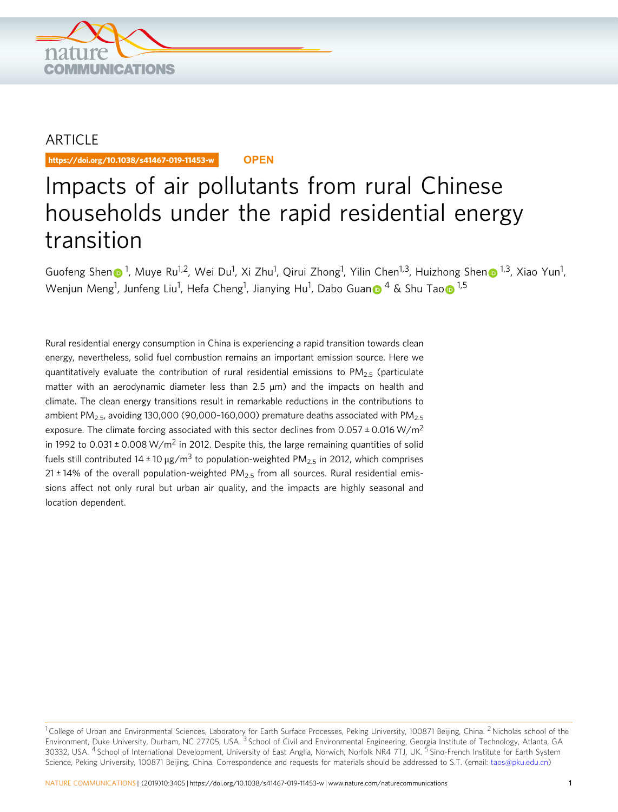

## ARTICLE

https://doi.org/10.1038/s41467-019-11453-w **OPEN**

# Impacts of air pollutants from rural Chinese households under the rapid residential energy transition

Guofe[n](http://orcid.org/0000-0003-1335-8477)g Shen n<sup>[1](http://orcid.org/0000-0002-7731-5399)</sup>, Muye Ru<sup>1,2</sup>, Wei Du<sup>1</sup>, Xi Zhu<sup>1</sup>, Qirui Zhong<sup>1</sup>, Yilin Chen<sup>1,3</sup>, Huizhong Shen n<sup>1,3</sup>, Xiao Yun<sup>1</sup>, We[n](http://orcid.org/0000-0003-3773-3403)jun Meng<sup>1</sup>, Junfeng Liu<sup>1</sup>, Hefa Cheng<sup>1</sup>, Jianying Hu<sup>1</sup>, Dab[o](http://orcid.org/0000-0002-7374-7063) Guan 6 <sup>4</sup> & Shu Tao 6 <sup>[1](http://orcid.org/0000-0002-7374-7063),5</sup>

Rural residential energy consumption in China is experiencing a rapid transition towards clean energy, nevertheless, solid fuel combustion remains an important emission source. Here we quantitatively evaluate the contribution of rural residential emissions to  $PM_{2.5}$  (particulate matter with an aerodynamic diameter less than 2.5 μm) and the impacts on health and climate. The clean energy transitions result in remarkable reductions in the contributions to ambient PM<sub>2.5</sub>, avoiding 130,000 (90,000-160,000) premature deaths associated with PM<sub>2.5</sub> exposure. The climate forcing associated with this sector declines from 0.057  $\pm$  0.016 W/m<sup>2</sup> in 1992 to  $0.031 \pm 0.008 \text{ W/m}^2$  in 2012. Despite this, the large remaining quantities of solid fuels still contributed 14 ± 10 μg/m<sup>3</sup> to population-weighted PM<sub>2.5</sub> in 2012, which comprises 21 ± 14% of the overall population-weighted  $PM<sub>2.5</sub>$  from all sources. Rural residential emissions affect not only rural but urban air quality, and the impacts are highly seasonal and location dependent.

 $1$  College of Urban and Environmental Sciences, Laboratory for Earth Surface Processes, Peking University, 100871 Beijing, China. <sup>2</sup> Nicholas school of the Environment, Duke University, Durham, NC 27705, USA. <sup>3</sup> School of Civil and Environmental Engineering, Georgia Institute of Technology, Atlanta, GA 30332, USA. <sup>4</sup> School of International Development, University of East Anglia, Norwich, Norfolk NR4 7TJ, UK. <sup>5</sup> Sino-French Institute for Earth System Science, Peking University, 100871 Beijing, China. Correspondence and requests for materials should be addressed to S.T. (email: [taos@pku.edu.cn](mailto:taos@pku.edu.cn))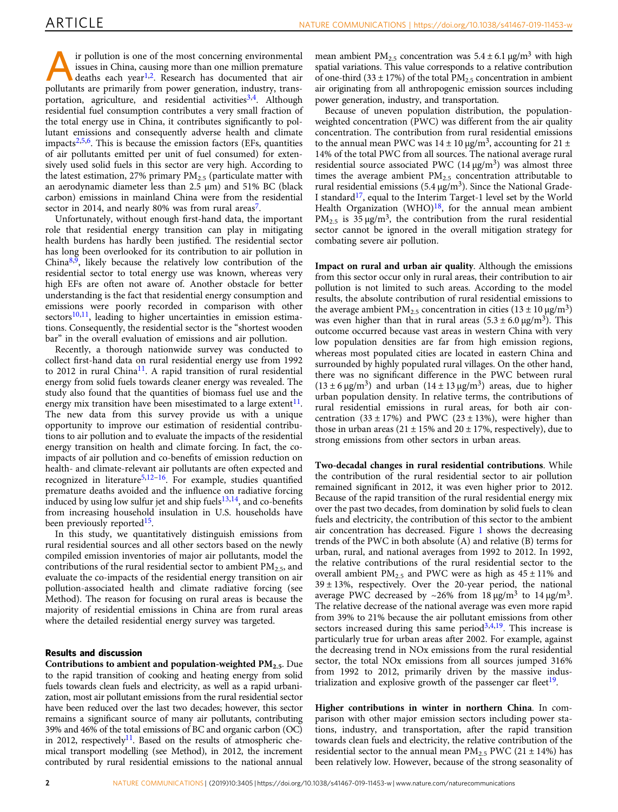**A** ir pollution is one of the most concerning environmental<br>issues in China, causing more than one million premature<br>deaths each year<sup>1,2</sup>. Research has documented that air<br>pollutants are primarily from nower generation i issues in China, causing more than one million premature pollutants are primarily from power generation, industry, transportation, agriculture, and residential activities  $3,4$ . Although residential fuel consumption contributes a very small fraction of the total energy use in China, it contributes significantly to pollutant emissions and consequently adverse health and climate impacts $2,5,6$ . This is because the emission factors (EFs, quantities of air pollutants emitted per unit of fuel consumed) for extensively used solid fuels in this sector are very high. According to the latest estimation, 27% primary  $PM_{2.5}$  (particulate matter with an aerodynamic diameter less than 2.5 μm) and 51% BC (black carbon) emissions in mainland China were from the residential sector in 2014, and nearly 80% was from rural areas<sup>7</sup>.

Unfortunately, without enough first-hand data, the important role that residential energy transition can play in mitigating health burdens has hardly been justified. The residential sector has long been overlooked for its contribution to air pollution in China $8,9$  $8,9$  $8,9$ , likely because the relatively low contribution of the residential sector to total energy use was known, whereas very high EFs are often not aware of. Another obstacle for better understanding is the fact that residential energy consumption and emissions were poorly recorded in comparison with other  $sectors<sup>10,11</sup>$ , leading to higher uncertainties in emission estimations. Consequently, the residential sector is the "shortest wooden bar" in the overall evaluation of emissions and air pollution.

Recently, a thorough nationwide survey was conducted to collect first-hand data on rural residential energy use from 1992 to 2012 in rural China<sup>11</sup>. A rapid transition of rural residential energy from solid fuels towards cleaner energy was revealed. The study also found that the quantities of biomass fuel use and the energy mix transition have been misestimated to a large extent<sup>11</sup>. The new data from this survey provide us with a unique opportunity to improve our estimation of residential contributions to air pollution and to evaluate the impacts of the residential energy transition on health and climate forcing. In fact, the coimpacts of air pollution and co-benefits of emission reduction on health- and climate-relevant air pollutants are often expected and recognized in literature<sup>[5,12](#page-6-0)-16</sup>. For example, studies quantified premature deaths avoided and the influence on radiative forcing induced by using low sulfur jet and ship fuels $13,14$ , and co-benefits from increasing household insulation in U.S. households have been previously reported<sup>[15](#page-6-0)</sup>.

In this study, we quantitatively distinguish emissions from rural residential sources and all other sectors based on the newly compiled emission inventories of major air pollutants, model the contributions of the rural residential sector to ambient  $PM_{2.5}$ , and evaluate the co-impacts of the residential energy transition on air pollution-associated health and climate radiative forcing (see Method). The reason for focusing on rural areas is because the majority of residential emissions in China are from rural areas where the detailed residential energy survey was targeted.

### Results and discussion

Contributions to ambient and population-weighted  $PM_{2.5}$ . Due to the rapid transition of cooking and heating energy from solid fuels towards clean fuels and electricity, as well as a rapid urbanization, most air pollutant emissions from the rural residential sector have been reduced over the last two decades; however, this sector remains a significant source of many air pollutants, contributing 39% and 46% of the total emissions of BC and organic carbon (OC) in 2012, respectively<sup>11</sup>. Based on the results of atmospheric chemical transport modelling (see Method), in 2012, the increment contributed by rural residential emissions to the national annual

mean ambient PM<sub>2.5</sub> concentration was  $5.4 \pm 6.1$  μg/m<sup>3</sup> with high spatial variations. This value corresponds to a relative contribution of one-third (33  $\pm$  17%) of the total PM<sub>2.5</sub> concentration in ambient air originating from all anthropogenic emission sources including power generation, industry, and transportation.

Because of uneven population distribution, the populationweighted concentration (PWC) was different from the air quality concentration. The contribution from rural residential emissions to the annual mean PWC was  $14 \pm 10 \mu g/m^3$ , accounting for  $21 \pm 10 \mu g/m^3$ 14% of the total PWC from all sources. The national average rural residential source associated PWC  $(14 \mu g/m^3)$  was almost three times the average ambient  $PM_{2.5}$  concentration attributable to rural residential emissions (5.4  $\mu$ g/m<sup>3</sup>). Since the National Grade-I standard<sup>17</sup>, equal to the Interim Target-1 level set by the World Health Organization (WHO) $18$ , for the annual mean ambient  $PM_{2.5}$  is 35 μg/m<sup>3</sup>, the contribution from the rural residential sector cannot be ignored in the overall mitigation strategy for combating severe air pollution.

Impact on rural and urban air quality. Although the emissions from this sector occur only in rural areas, their contribution to air pollution is not limited to such areas. According to the model results, the absolute contribution of rural residential emissions to the average ambient  $PM_{2.5}$  concentration in cities (13 ± 10  $\mu$ g/m<sup>3</sup>) was even higher than that in rural areas  $(5.3 \pm 6.0 \,\mu g/m^3)$ . This outcome occurred because vast areas in western China with very low population densities are far from high emission regions, whereas most populated cities are located in eastern China and surrounded by highly populated rural villages. On the other hand, there was no significant difference in the PWC between rural  $(13 \pm 6 \,\mu\text{g/m}^3)$  and urban  $(14 \pm 13 \,\mu\text{g/m}^3)$  areas, due to higher urban population density. In relative terms, the contributions of rural residential emissions in rural areas, for both air concentration  $(33 \pm 17%)$  and PWC  $(23 \pm 13%)$ , were higher than those in urban areas (21  $\pm$  15% and 20  $\pm$  17%, respectively), due to strong emissions from other sectors in urban areas.

Two-decadal changes in rural residential contributions. While the contribution of the rural residential sector to air pollution remained significant in 2012, it was even higher prior to 2012. Because of the rapid transition of the rural residential energy mix over the past two decades, from domination by solid fuels to clean fuels and electricity, the contribution of this sector to the ambient air concentration has decreased. Figure [1](#page-2-0) shows the decreasing trends of the PWC in both absolute (A) and relative (B) terms for urban, rural, and national averages from 1992 to 2012. In 1992, the relative contributions of the rural residential sector to the overall ambient  $PM_{2,5}$  and PWC were as high as  $45 \pm 11\%$  and 39 ± 13%, respectively. Over the 20-year period, the national average PWC decreased by ~26% from 18  $\mu$ g/m<sup>3</sup> to 14  $\mu$ g/m<sup>3</sup>. The relative decrease of the national average was even more rapid from 39% to 21% because the air pollutant emissions from other sectors increased during this same period $3,4,19$ . This increase is particularly true for urban areas after 2002. For example, against the decreasing trend in NOx emissions from the rural residential sector, the total NOx emissions from all sources jumped 316% from 1992 to 2012, primarily driven by the massive indus-trialization and explosive growth of the passenger car fleet<sup>[19](#page-6-0)</sup>.

Higher contributions in winter in northern China. In comparison with other major emission sectors including power stations, industry, and transportation, after the rapid transition towards clean fuels and electricity, the relative contribution of the residential sector to the annual mean  $PM_{2.5}$  PWC (21  $\pm$  14%) has been relatively low. However, because of the strong seasonality of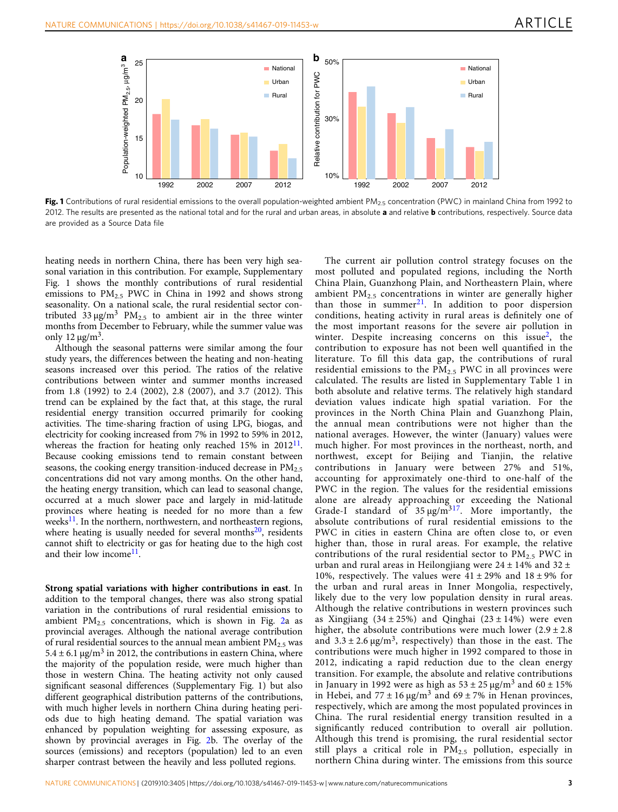<span id="page-2-0"></span>

Fig. 1 Contributions of rural residential emissions to the overall population-weighted ambient PM<sub>2.5</sub> concentration (PWC) in mainland China from 1992 to 2012. The results are presented as the national total and for the rural and urban areas, in absolute a and relative **b** contributions, respectively. Source data are provided as a Source Data file

heating needs in northern China, there has been very high seasonal variation in this contribution. For example, Supplementary Fig. 1 shows the monthly contributions of rural residential emissions to  $PM_{2.5}$  PWC in China in 1992 and shows strong seasonality. On a national scale, the rural residential sector contributed  $33 \mu g/m^3$  PM<sub>2.5</sub> to ambient air in the three winter months from December to February, while the summer value was only 12  $\mu$ g/m<sup>3</sup>.

Although the seasonal patterns were similar among the four study years, the differences between the heating and non-heating seasons increased over this period. The ratios of the relative contributions between winter and summer months increased from 1.8 (1992) to 2.4 (2002), 2.8 (2007), and 3.7 (2012). This trend can be explained by the fact that, at this stage, the rural residential energy transition occurred primarily for cooking activities. The time-sharing fraction of using LPG, biogas, and electricity for cooking increased from 7% in 1992 to 59% in 2012, whereas the fraction for heating only reached  $15\%$  in  $2012^{11}$ . Because cooking emissions tend to remain constant between seasons, the cooking energy transition-induced decrease in  $PM_{2.5}$ concentrations did not vary among months. On the other hand, the heating energy transition, which can lead to seasonal change, occurred at a much slower pace and largely in mid-latitude provinces where heating is needed for no more than a few weeks<sup>[11](#page-6-0)</sup>. In the northern, northwestern, and northeastern regions, where heating is usually needed for several months $20$ , residents cannot shift to electricity or gas for heating due to the high cost and their low income<sup>11</sup>.

Strong spatial variations with higher contributions in east. In addition to the temporal changes, there was also strong spatial variation in the contributions of rural residential emissions to ambient  $PM_{2.5}$  concentrations, which is shown in Fig. [2a](#page-3-0) as provincial averages. Although the national average contribution of rural residential sources to the annual mean ambient  $PM_{2.5}$  was  $5.4 \pm 6.1 \,\mu$ g/m<sup>3</sup> in 2012, the contributions in eastern China, where the majority of the population reside, were much higher than those in western China. The heating activity not only caused significant seasonal differences (Supplementary Fig. 1) but also different geographical distribution patterns of the contributions, with much higher levels in northern China during heating periods due to high heating demand. The spatial variation was enhanced by population weighting for assessing exposure, as shown by provincial averages in Fig. [2](#page-3-0)b. The overlay of the sources (emissions) and receptors (population) led to an even sharper contrast between the heavily and less polluted regions.

The current air pollution control strategy focuses on the most polluted and populated regions, including the North China Plain, Guanzhong Plain, and Northeastern Plain, where ambient  $PM<sub>2.5</sub>$  concentrations in winter are generally higher than those in summer<sup>[21](#page-6-0)</sup>. In addition to poor dispersion conditions, heating activity in rural areas is definitely one of the most important reasons for the severe air pollution in winter. Despite increasing concerns on this issue<sup>2</sup>, the contribution to exposure has not been well quantified in the literature. To fill this data gap, the contributions of rural residential emissions to the  $PM_{2.5}$  PWC in all provinces were calculated. The results are listed in Supplementary Table 1 in both absolute and relative terms. The relatively high standard deviation values indicate high spatial variation. For the provinces in the North China Plain and Guanzhong Plain, the annual mean contributions were not higher than the national averages. However, the winter (January) values were much higher. For most provinces in the northeast, north, and northwest, except for Beijing and Tianjin, the relative contributions in January were between 27% and 51%, accounting for approximately one-third to one-half of the PWC in the region. The values for the residential emissions alone are already approaching or exceeding the National Grade-I standard of  $35 \mu g/m^{317}$ . More importantly, the absolute contributions of rural residential emissions to the PWC in cities in eastern China are often close to, or even higher than, those in rural areas. For example, the relative contributions of the rural residential sector to  $PM_{2.5}$  PWC in urban and rural areas in Heilongjiang were  $24 \pm 14\%$  and  $32 \pm 14\%$ 10%, respectively. The values were  $41 \pm 29$ % and  $18 \pm 9$ % for the urban and rural areas in Inner Mongolia, respectively, likely due to the very low population density in rural areas. Although the relative contributions in western provinces such as Xingjiang  $(34 \pm 25\%)$  and Qinghai  $(23 \pm 14\%)$  were even higher, the absolute contributions were much lower  $(2.9 \pm 2.8)$ and  $3.3 \pm 2.6 \,\mathrm{kg/m^3}$ , respectively) than those in the east. The contributions were much higher in 1992 compared to those in 2012, indicating a rapid reduction due to the clean energy transition. For example, the absolute and relative contributions in January in 1992 were as high as  $53 \pm 25 \,\mu$ g/m<sup>3</sup> and  $60 \pm 15\%$ in Hebei, and  $77 \pm 16 \,\mu g/m^3$  and  $69 \pm 7\%$  in Henan provinces, respectively, which are among the most populated provinces in China. The rural residential energy transition resulted in a significantly reduced contribution to overall air pollution. Although this trend is promising, the rural residential sector still plays a critical role in  $PM<sub>2.5</sub>$  pollution, especially in northern China during winter. The emissions from this source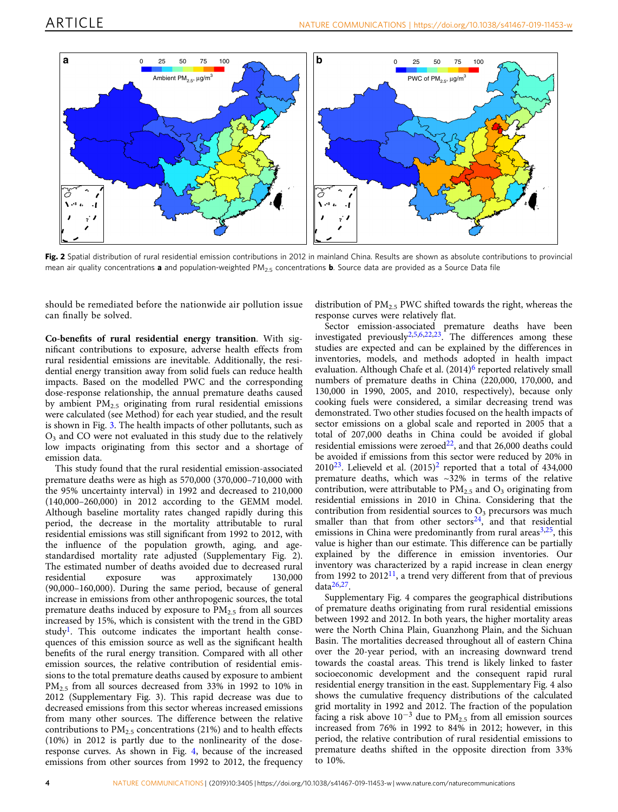<span id="page-3-0"></span>

Fig. 2 Spatial distribution of rural residential emission contributions in 2012 in mainland China. Results are shown as absolute contributions to provincial mean air quality concentrations **a** and population-weighted PM<sub>25</sub> concentrations **b**. Source data are provided as a Source Data file

should be remediated before the nationwide air pollution issue can finally be solved.

Co-benefits of rural residential energy transition. With significant contributions to exposure, adverse health effects from rural residential emissions are inevitable. Additionally, the residential energy transition away from solid fuels can reduce health impacts. Based on the modelled PWC and the corresponding dose-response relationship, the annual premature deaths caused by ambient PM2.5 originating from rural residential emissions were calculated (see Method) for each year studied, and the result is shown in Fig. [3](#page-4-0). The health impacts of other pollutants, such as O3 and CO were not evaluated in this study due to the relatively low impacts originating from this sector and a shortage of emission data.

This study found that the rural residential emission-associated premature deaths were as high as 570,000 (370,000–710,000 with the 95% uncertainty interval) in 1992 and decreased to 210,000 (140,000–260,000) in 2012 according to the GEMM model. Although baseline mortality rates changed rapidly during this period, the decrease in the mortality attributable to rural residential emissions was still significant from 1992 to 2012, with the influence of the population growth, aging, and agestandardised mortality rate adjusted (Supplementary Fig. 2). The estimated number of deaths avoided due to decreased rural residential exposure was approximately 130,000 (90,000–160,000). During the same period, because of general increase in emissions from other anthropogenic sources, the total premature deaths induced by exposure to  $PM<sub>2.5</sub>$  from all sources increased by 15%, which is consistent with the trend in the GBD study<sup>1</sup>. This outcome indicates the important health consequences of this emission source as well as the significant health benefits of the rural energy transition. Compared with all other emission sources, the relative contribution of residential emissions to the total premature deaths caused by exposure to ambient PM2.5 from all sources decreased from 33% in 1992 to 10% in 2012 (Supplementary Fig. 3). This rapid decrease was due to decreased emissions from this sector whereas increased emissions from many other sources. The difference between the relative contributions to  $PM_{2,5}$  concentrations (21%) and to health effects (10%) in 2012 is partly due to the nonlinearity of the doseresponse curves. As shown in Fig. [4,](#page-4-0) because of the increased emissions from other sources from 1992 to 2012, the frequency

distribution of  $PM_{2.5}$  PWC shifted towards the right, whereas the response curves were relatively flat.

Sector emission-associated premature deaths have been investigated previously $2,5,6,22,23$  $2,5,6,22,23$  $2,5,6,22,23$ . The differences among these studies are expected and can be explained by the differences in inventories, models, and methods adopted in health impact evaluation. Although Chafe et al. (2014)<sup>6</sup> reported relatively small numbers of premature deaths in China (220,000, 170,000, and 130,000 in 1990, 2005, and 2010, respectively), because only cooking fuels were considered, a similar decreasing trend was demonstrated. Two other studies focused on the health impacts of sector emissions on a global scale and reported in 2005 that a total of 207,000 deaths in China could be avoided if global residential emissions were zeroed $^{22}$ , and that 26,000 deaths could be avoided if emissions from this sector were reduced by 20% in  $2010^{23}$  $2010^{23}$ . Lelieveld et al.  $(2015)^{2}$  reported that a total of 434,000 premature deaths, which was ~32% in terms of the relative contribution, were attributable to  $PM<sub>2.5</sub>$  and  $O<sub>3</sub>$  originating from residential emissions in 2010 in China. Considering that the contribution from residential sources to  $O<sub>3</sub>$  precursors was much smaller than that from other sectors $24$ , and that residential emissions in China were predominantly from rural areas $3,25$  $3,25$  $3,25$ , this value is higher than our estimate. This difference can be partially explained by the difference in emission inventories. Our inventory was characterized by a rapid increase in clean energy from 1992 to  $2012<sup>11</sup>$ , a trend very different from that of previous  $data<sup>26,27</sup>$ .

Supplementary Fig. 4 compares the geographical distributions of premature deaths originating from rural residential emissions between 1992 and 2012. In both years, the higher mortality areas were the North China Plain, Guanzhong Plain, and the Sichuan Basin. The mortalities decreased throughout all of eastern China over the 20-year period, with an increasing downward trend towards the coastal areas. This trend is likely linked to faster socioeconomic development and the consequent rapid rural residential energy transition in the east. Supplementary Fig. 4 also shows the cumulative frequency distributions of the calculated grid mortality in 1992 and 2012. The fraction of the population facing a risk above  $10^{-3}$  due to PM<sub>2.5</sub> from all emission sources increased from 76% in 1992 to 84% in 2012; however, in this period, the relative contribution of rural residential emissions to premature deaths shifted in the opposite direction from 33% to 10%.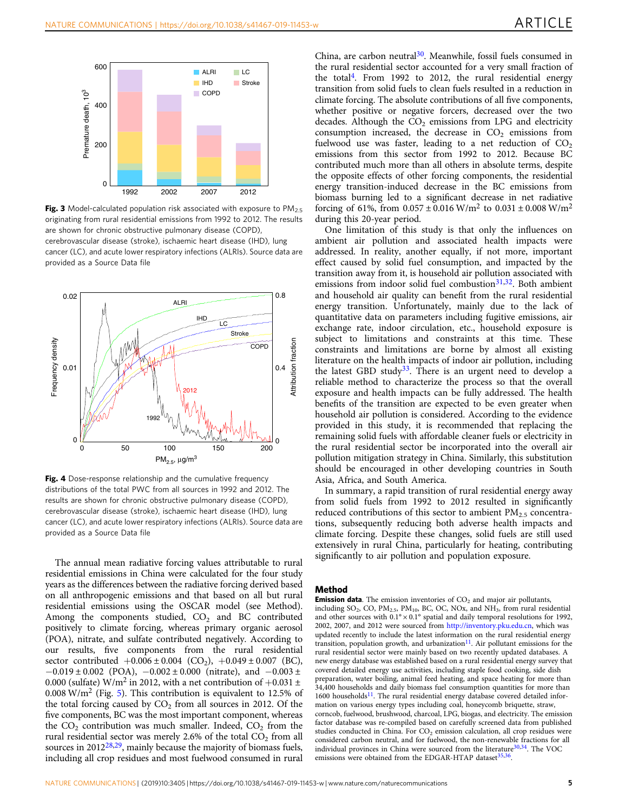<span id="page-4-0"></span>

Fig. 3 Model-calculated population risk associated with exposure to  $PM_{2.5}$ originating from rural residential emissions from 1992 to 2012. The results are shown for chronic obstructive pulmonary disease (COPD), cerebrovascular disease (stroke), ischaemic heart disease (IHD), lung cancer (LC), and acute lower respiratory infections (ALRIs). Source data are provided as a Source Data file



Fig. 4 Dose-response relationship and the cumulative frequency distributions of the total PWC from all sources in 1992 and 2012. The results are shown for chronic obstructive pulmonary disease (COPD), cerebrovascular disease (stroke), ischaemic heart disease (IHD), lung cancer (LC), and acute lower respiratory infections (ALRIs). Source data are provided as a Source Data file

The annual mean radiative forcing values attributable to rural residential emissions in China were calculated for the four study years as the differences between the radiative forcing derived based on all anthropogenic emissions and that based on all but rural residential emissions using the OSCAR model (see Method). Among the components studied,  $CO<sub>2</sub>$  and BC contributed positively to climate forcing, whereas primary organic aerosol (POA), nitrate, and sulfate contributed negatively. According to our results, five components from the rural residential sector contributed  $+0.006 \pm 0.004$  (CO<sub>2</sub>),  $+0.049 \pm 0.007$  (BC),  $-0.019 \pm 0.002$  (POA),  $-0.002 \pm 0.000$  (nitrate), and  $-0.003 \pm 0.003$ 0.000 (sulfate) W/m<sup>2</sup> in 2012, with a net contribution of  $+0.031 \pm$  $0.008 \text{ W/m}^2$  (Fig. [5](#page-5-0)). This contribution is equivalent to 12.5% of the total forcing caused by  $CO<sub>2</sub>$  from all sources in 2012. Of the five components, BC was the most important component, whereas the  $CO<sub>2</sub>$  contribution was much smaller. Indeed,  $CO<sub>2</sub>$  from the rural residential sector was merely 2.6% of the total  $CO<sub>2</sub>$  from all sources in 2012<sup>28,29</sup>, mainly because the majority of biomass fuels, including all crop residues and most fuelwood consumed in rural

China, are carbon neutral $30$ . Meanwhile, fossil fuels consumed in the rural residential sector accounted for a very small fraction of the total<sup>4</sup>. From 1992 to 2012, the rural residential energy transition from solid fuels to clean fuels resulted in a reduction in climate forcing. The absolute contributions of all five components, whether positive or negative forcers, decreased over the two decades. Although the  $CO<sub>2</sub>$  emissions from LPG and electricity consumption increased, the decrease in  $CO<sub>2</sub>$  emissions from fuelwood use was faster, leading to a net reduction of  $CO<sub>2</sub>$ emissions from this sector from 1992 to 2012. Because BC contributed much more than all others in absolute terms, despite the opposite effects of other forcing components, the residential energy transition-induced decrease in the BC emissions from biomass burning led to a significant decrease in net radiative forcing of 61%, from  $0.057 \pm 0.016$  W/m<sup>2</sup> to  $0.031 \pm 0.008$  W/m<sup>2</sup> during this 20-year period.

One limitation of this study is that only the influences on ambient air pollution and associated health impacts were addressed. In reality, another equally, if not more, important effect caused by solid fuel consumption, and impacted by the transition away from it, is household air pollution associated with emissions from indoor solid fuel combustion $31,32$ . Both ambient and household air quality can benefit from the rural residential energy transition. Unfortunately, mainly due to the lack of quantitative data on parameters including fugitive emissions, air exchange rate, indoor circulation, etc., household exposure is subject to limitations and constraints at this time. These constraints and limitations are borne by almost all existing literature on the health impacts of indoor air pollution, including the latest GBD study<sup>33</sup>. There is an urgent need to develop a reliable method to characterize the process so that the overall exposure and health impacts can be fully addressed. The health benefits of the transition are expected to be even greater when household air pollution is considered. According to the evidence provided in this study, it is recommended that replacing the remaining solid fuels with affordable cleaner fuels or electricity in the rural residential sector be incorporated into the overall air pollution mitigation strategy in China. Similarly, this substitution should be encouraged in other developing countries in South Asia, Africa, and South America.

In summary, a rapid transition of rural residential energy away from solid fuels from 1992 to 2012 resulted in significantly reduced contributions of this sector to ambient  $PM_{2.5}$  concentrations, subsequently reducing both adverse health impacts and climate forcing. Despite these changes, solid fuels are still used extensively in rural China, particularly for heating, contributing significantly to air pollution and population exposure.

#### Method

**Emission data**. The emission inventories of  $CO<sub>2</sub>$  and major air pollutants, including  $SO_2$ , CO, PM<sub>2.5</sub>, PM<sub>10</sub>, BC, OC, NOx, and NH<sub>3</sub>, from rural residential and other sources with  $0.1^{\circ} \times 0.1^{\circ}$  spatial and daily temporal resolutions for 1992, 2002, 2007, and 2012 were sourced from [http://inventory.pku.edu.cn,](http://inventory.pku.edu.cn) which was updated recently to include the latest information on the rural residential energy transition, population growth, and urbanization $11$ . Air pollutant emissions for the rural residential sector were mainly based on two recently updated databases. A new energy database was established based on a rural residential energy survey that covered detailed energy use activities, including staple food cooking, side dish preparation, water boiling, animal feed heating, and space heating for more than 34,400 households and daily biomass fuel consumption quantities for more than  $1600$  households<sup>11</sup>. The rural residential energy database covered detailed information on various energy types including coal, honeycomb briquette, straw, corncob, fuelwood, brushwood, charcoal, LPG, biogas, and electricity. The emission factor database was re-compiled based on carefully screened data from published studies conducted in China. For  $CO<sub>2</sub>$  emission calculation, all crop residues were considered carbon neutral, and for fuelwood, the non-renewable fractions for all individual provinces in China were sourced from the literature $30,34$ . The VOC emissions were obtained from the EDGAR-HTAP dataset $35,36$  $35,36$  $35,36$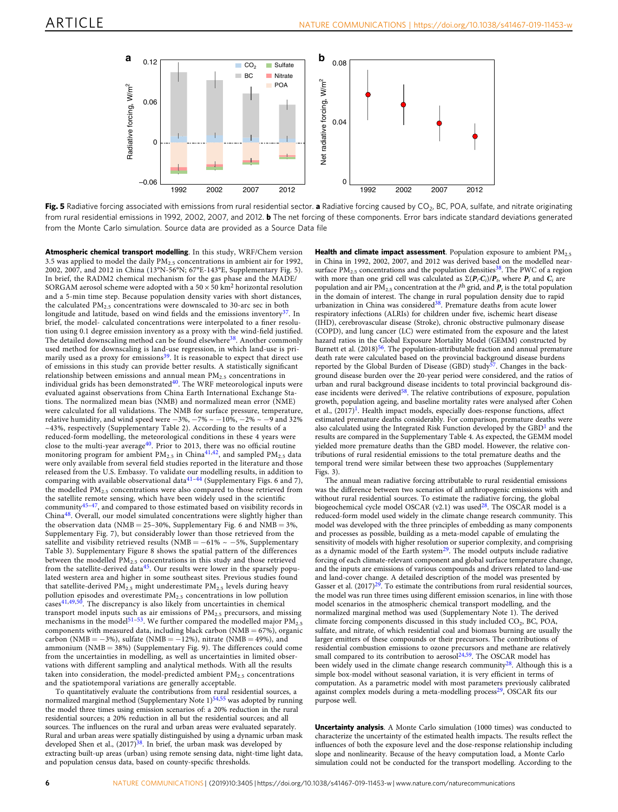<span id="page-5-0"></span>

Fig. 5 Radiative forcing associated with emissions from rural residential sector. a Radiative forcing caused by CO<sub>2</sub>, BC, POA, sulfate, and nitrate originating from rural residential emissions in 1992, 2002, 2007, and 2012. **b** The net forcing of these components. Error bars indicate standard deviations generated from the Monte Carlo simulation. Source data are provided as a Source Data file

Atmospheric chemical transport modelling. In this study, WRF/Chem version 3.5 was applied to model the daily  $PM<sub>2.5</sub>$  concentrations in ambient air for 1992, 2002, 2007, and 2012 in China (13°N-56°N; 67°E-143°E, Supplementary Fig. 5). In brief, the RADM2 chemical mechanism for the gas phase and the MADE/ SORGAM aerosol scheme were adopted with a 50  $\times$  50 km<sup>2</sup> horizontal resolution and a 5-min time step. Because population density varies with short distances, the calculated PM<sub>2.5</sub> concentrations were downscaled to 30-arc sec in both longitude and latitude, based on wind fields and the emissions inventory $37$ . In brief, the model- calculated concentrations were interpolated to a finer resolution using 0.1 degree emission inventory as a proxy with the wind-field justified. The detailed downscaling method can be found elsewhere<sup>[38](#page-6-0)</sup>. Another commonly used method for downscaling is land-use regression, in which land-use is primarily used as a proxy for emissions<sup>39</sup>. It is reasonable to expect that direct use of emissions in this study can provide better results. A statistically significant relationship between emissions and annual mean  $PM_{2.5}$  concentrations in individual grids has been demonstrated $40$ . The WRF meteorological inputs were evaluated against observations from China Earth International Exchange Stations. The normalized mean bias (NMB) and normalized mean error (NME) were calculated for all validations. The NMB for surface pressure, temperature, relative humidity, and wind speed were  $-3\%$ ,  $-7\% \sim -10\%$ ,  $-2\% \sim -9$  and 32% ~43%, respectively (Supplementary Table 2). According to the results of a reduced-form modelling, the meteorological conditions in these 4 years were close to the multi-year average<sup>40</sup>. Prior to 2013, there was no official routine monitoring program for ambient  $PM_{2.5}$  in China<sup>[41](#page-6-0),42</sup>, and sampled  $PM_{2.5}$  data were only available from several field studies reported in the literature and those released from the U.S. Embassy. To validate our modelling results, in addition to<br>comparing with available observational data<sup>[41](#page-6-0)–[44](#page-6-0)</sup> (Supplementary Figs. 6 and 7), the modelled PM<sub>2.5</sub> concentrations were also compared to those retrieved from the satellite remote sensing, which have been widely used in the scientific community<sup>[45](#page-6-0)-[47](#page-6-0)</sup>, and compared to those estimated based on visibility records in China[48](#page-6-0). Overall, our model simulated concentrations were slightly higher than the observation data (NMB = 25-30%, Supplementary Fig. 6 and  $\overline{\text{NME}}$  = 3%, Supplementary Fig. 7), but considerably lower than those retrieved from the satellite and visibility retrieved results (NMB =  $-61\% \sim -5\%$ , Supplementary Table 3). Supplementary Figure 8 shows the spatial pattern of the differences between the modelled PM<sub>2.5</sub> concentrations in this study and those retrieved from the satellite-derived data<sup>[45](#page-6-0)</sup>. Our results were lower in the sparsely populated western area and higher in some southeast sites. Previous studies found that satellite-derived  $PM_{2.5}$  might underestimate  $PM_{2.5}$  levels during heavy pollution episodes and overestimate  $PM_{2.5}$  concentrations in low pollution  $\frac{1}{2}$  cases<sup>[41,49](#page-6-0),50</sup>. The discrepancy is also likely from uncertainties in chemical transport model inputs such as air emissions of PM<sub>2.5</sub> precursors, and missing<br>mechanisms in the model<sup>[51](#page-7-0)–[53](#page-7-0)</sup>. We further compared the modelled major PM<sub>2.5</sub> components with measured data, including black carbon ( $NMB = 67%$ ), organic carbon (NMB =  $-3\%$ ), sulfate (NMB =  $-12\%$ ), nitrate (NMB = 49%), and ammonium (NMB = 38%) (Supplementary Fig. 9). The differences could come from the uncertainties in modelling, as well as uncertainties in limited observations with different sampling and analytical methods. With all the results taken into consideration, the model-predicted ambient  $PM_{2.5}$  concentrations and the spatiotemporal variations are generally acceptable.

To quantitatively evaluate the contributions from rural residential sources, a normalized marginal method (Supplementary Note 1)<sup>[54,55](#page-7-0)</sup> was adopted by running the model three times using emission scenarios of: a 20% reduction in the rural residential sources; a 20% reduction in all but the residential sources; and all sources. The influences on the rural and urban areas were evaluated separately. Rural and urban areas were spatially distinguished by using a dynamic urban mask developed Shen et al.,  $(2017)^{38}$  $(2017)^{38}$  $(2017)^{38}$ . In brief, the urban mask was developed by extracting built-up areas (urban) using remote sensing data, night-time light data, and population census data, based on county-specific thresholds.

Health and climate impact assessment. Population exposure to ambient PM<sub>2.5</sub> in China in 1992, 2002, 2007, and 2012 was derived based on the modelled nearsurface  $PM_{2.5}$  concentrations and the population densities<sup>[38](#page-6-0)</sup>. The PWC of a region with more than one grid cell was calculated as  $\Sigma(P_i \cdot C_i)/P_t$ , where  $P_i$  and  $C_i$  are population and air  $PM_{2.5}$  concentration at the *i*<sup>th</sup> grid, and  $P_t$  is the total population in the domain of interest. The change in rural population density due to rapid urbanization in China was considered<sup>38</sup>. Premature deaths from acute lower respiratory infections (ALRIs) for children under five, ischemic heart disease (IHD), cerebrovascular disease (Stroke), chronic obstructive pulmonary disease (COPD), and lung cancer (LC) were estimated from the exposure and the latest hazard ratios in the Global Exposure Mortality Model (GEMM) constructed by Burnett et al.  $(2018)^{56}$  $(2018)^{56}$  $(2018)^{56}$ . The population-attributable fraction and annual premature death rate were calculated based on the provincial background disease burdens reported by the Global Burden of Disease (GBD) study<sup>57</sup>. Changes in the background disease burden over the 20-year period were considered, and the ratios of urban and rural background disease incidents to total provincial background dis-ease incidents were derived<sup>[58](#page-7-0)</sup>. The relative contributions of exposure, population growth, population ageing, and baseline mortality rates were analysed after Cohen et al., (2017)<sup>1</sup>. Health impact models, especially does-response functions, affect estimated premature deaths considerably. For comparison, premature deaths were also calculated using the Integrated Risk Function developed by the  $GBD<sup>1</sup>$  $GBD<sup>1</sup>$  $GBD<sup>1</sup>$  and the results are compared in the Supplementary Table 4. As expected, the GEMM model yielded more premature deaths than the GBD model. However, the relative contributions of rural residential emissions to the total premature deaths and the temporal trend were similar between these two approaches (Supplementary Figs. 3).

The annual mean radiative forcing attributable to rural residential emissions was the difference between two scenarios of all anthropogenic emissions with and without rural residential sources. To estimate the radiative forcing, the global biogeochemical cycle model OSCAR (v2.1) was used<sup>28</sup>. The OSCAR model is a reduced-form model used widely in the climate change research community. This model was developed with the three principles of embedding as many components and processes as possible, building as a meta-model capable of emulating the sensitivity of models with higher resolution or superior complexity, and comprising as a dynamic model of the Earth system<sup>29</sup>. The model outputs include radiative forcing of each climate-relevant component and global surface temperature change, and the inputs are emissions of various compounds and drivers related to land-use and land-cover change. A detailed description of the model was presented by Gasser et al.  $(2017)^{29}$ . To estimate the contributions from rural residential sources, the model was run three times using different emission scenarios, in line with those model scenarios in the atmospheric chemical transport modelling, and the normalized marginal method was used (Supplementary Note 1). The derived climate forcing components discussed in this study included  $CO<sub>2</sub>$ , BC, POA, sulfate, and nitrate, of which residential coal and biomass burning are usually the larger emitters of these compounds or their precursors. The contributions of residential combustion emissions to ozone precursors and methane are relatively small compared to its contribution to aerosol<sup>[24,](#page-6-0)59</sup>. The OSCAR model has been widely used in the climate change research community $28$ . Although this is a simple box-model without seasonal variation, it is very efficient in terms of computation. As a parametric model with most parameters previously calibrated against complex models during a meta-modelling process<sup>29</sup>, OSCAR fits our purpose well.

Uncertainty analysis. A Monte Carlo simulation (1000 times) was conducted to characterize the uncertainty of the estimated health impacts. The results reflect the influences of both the exposure level and the dose-response relationship including slope and nonlinearity. Because of the heavy computation load, a Monte Carlo simulation could not be conducted for the transport modelling. According to the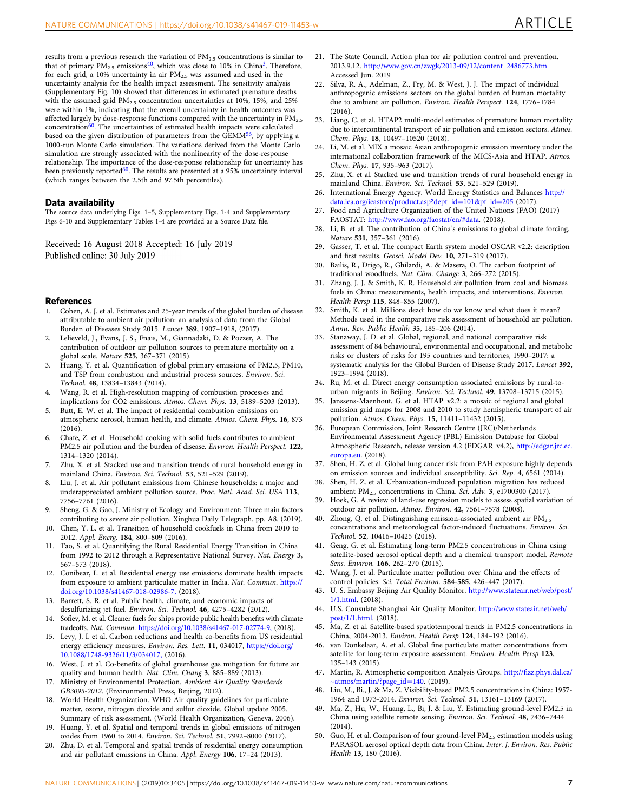<span id="page-6-0"></span>results from a previous research the variation of  $PM_{2.5}$  concentrations is similar to that of primary  $PM_{2.5}$  emissions<sup>40</sup>, which was close to 10% in China<sup>3</sup>. Therefore, for each grid, a 10% uncertainty in air  $PM<sub>2.5</sub>$  was assumed and used in the uncertainty analysis for the health impact assessment. The sensitivity analysis (Supplementary Fig. 10) showed that differences in estimated premature deaths with the assumed grid PM<sub>2.5</sub> concentration uncertainties at 10%, 15%, and 25% were within 1%, indicating that the overall uncertainty in health outcomes was affected largely by dose-response functions compared with the uncertainty in PM<sub>2.5</sub> concentration<sup>60</sup>. The uncertainties of estimated health impacts were calculated based on the given distribution of parameters from the GEMM<sup>56</sup>, by applying a 1000-run Monte Carlo simulation. The variations derived from the Monte Carlo simulation are strongly associated with the nonlinearity of the dose-response relationship. The importance of the dose-response relationship for uncertainty has been previously reported<sup>60</sup>. The results are presented at a 95% uncertainty interval (which ranges between the 2.5th and 97.5th percentiles).

#### Data availability

The source data underlying Figs. 1–5, Supplementary Figs. 1-4 and Supplementary Figs 6-10 and Supplementary Tables 1-4 are provided as a Source Data file.

Received: 16 August 2018 Accepted: 16 July 2019 Published online: 30 July 2019

#### **References**

- 1. Cohen, A. J. et al. Estimates and 25-year trends of the global burden of disease attributable to ambient air pollution: an analysis of data from the Global Burden of Diseases Study 2015. Lancet 389, 1907–1918, (2017).
- 2. Lelieveld, J., Evans, J. S., Fnais, M., Giannadaki, D. & Pozzer, A. The contribution of outdoor air pollution sources to premature mortality on a global scale. Nature 525, 367–371 (2015).
- 3. Huang, Y. et al. Quantification of global primary emissions of PM2.5, PM10, and TSP from combustion and industrial process sources. Environ. Sci. Technol. 48, 13834–13843 (2014).
- 4. Wang, R. et al. High-resolution mapping of combustion processes and implications for CO2 emissions. Atmos. Chem. Phys. 13, 5189–5203 (2013).
- 5. Butt, E. W. et al. The impact of residential combustion emissions on atmospheric aerosol, human health, and climate. Atmos. Chem. Phys. 16, 873  $(2016)$ .
- 6. Chafe, Z. et al. Household cooking with solid fuels contributes to ambient PM2.5 air pollution and the burden of disease. Environ. Health Perspect. 122, 1314–1320 (2014).
- 7. Zhu, X. et al. Stacked use and transition trends of rural household energy in mainland China. Environ. Sci. Technol. 53, 521–529 (2019).
- 8. Liu, J. et al. Air pollutant emissions from Chinese households: a major and underappreciated ambient pollution source. Proc. Natl. Acad. Sci. USA 113, 7756–7761 (2016).
- 9. Sheng, G. & Gao, J. Ministry of Ecology and Environment: Three main factors contributing to severe air pollution. Xinghua Daily Telegraph. pp. A8. (2019).
- 10. Chen, Y. L. et al. Transition of household cookfuels in China from 2010 to 2012. Appl. Energ. 184, 800–809 (2016).
- 11. Tao, S. et al. Quantifying the Rural Residential Energy Transition in China from 1992 to 2012 through a Representative National Survey. Nat. Energy 3, 567–573 (2018).
- 12. Conibear, L. et al. Residential energy use emissions dominate health impacts from exposure to ambient particulate matter in India. Nat. Commun. [https://](https://doi.org/10.1038/s41467-018-02986-7,) [doi.org/10.1038/s41467-018-02986-7,](https://doi.org/10.1038/s41467-018-02986-7,) (2018).
- Barrett, S. R. et al. Public health, climate, and economic impacts of desulfurizing jet fuel. Environ. Sci. Technol. 46, 4275–4282 (2012).
- 14. Sofiev, M. et al. Cleaner fuels for ships provide public health benefits with climate tradeoffs. Nat. Commun. <https://doi.org/10.1038/s41467-017-02774-9,> (2018).
- 15. Levy, J. I. et al. Carbon reductions and health co-benefits from US residential energy efficiency measures. Environ. Res. Lett. 11, 034017, [https://doi.org/](https://doi.org/10.1088/1748-9326/11/3/034017,) [10.1088/1748-9326/11/3/034017,](https://doi.org/10.1088/1748-9326/11/3/034017,) (2016).
- 16. West, J. et al. Co-benefits of global greenhouse gas mitigation for future air quality and human health. Nat. Clim. Chang 3, 885-889 (2013).
- 17. Ministry of Environmental Protection. Ambient Air Quality Standards GB3095-2012. (Environmental Press, Beijing, 2012).
- 18. World Health Organization. WHO Air quality guidelines for particulate matter, ozone, nitrogen dioxide and sulfur dioxide. Global update 2005. Summary of risk assessment. (World Health Organization, Geneva, 2006).
- 19. Huang, Y. et al. Spatial and temporal trends in global emissions of nitrogen oxides from 1960 to 2014. Environ. Sci. Technol. 51, 7992–8000 (2017).
- 20. Zhu, D. et al. Temporal and spatial trends of residential energy consumption and air pollutant emissions in China. Appl. Energy 106, 17–24 (2013).
- 21. The State Council. Action plan for air pollution control and prevention. 2013.9.12. [http://www.gov.cn/zwgk/2013-09/12/content\\_2486773.htm](http://www.gov.cn/zwgk/2013-09/12/content_2486773.htm) Accessed Jun. 2019
- 22. Silva, R. A., Adelman, Z., Fry, M. & West, J. J. The impact of individual anthropogenic emissions sectors on the global burden of human mortality due to ambient air pollution. Environ. Health Perspect. 124, 1776–1784 (2016).
- 23. Liang, C. et al. HTAP2 multi-model estimates of premature human mortality due to intercontinental transport of air pollution and emission sectors. Atmos. Chem. Phys. 18, 10497–10520 (2018).
- 24. Li, M. et al. MIX a mosaic Asian anthropogenic emission inventory under the international collaboration framework of the MICS-Asia and HTAP. Atmos. Chem. Phys. 17, 935–963 (2017).
- 25. Zhu, X. et al. Stacked use and transition trends of rural household energy in mainland China. Environ. Sci. Technol. 53, 521–529 (2019).
- 26. International Energy Agency. World Energy Statistics and Balances [http://](http://data.iea.org/ieastore/product.asp?dept_id=101&pf_id=205) [data.iea.org/ieastore/product.asp?dept\\_id](http://data.iea.org/ieastore/product.asp?dept_id=101&pf_id=205)=101&pf\_id=205 (2017).
- Food and Agriculture Organization of the United Nations (FAO) (2017) FAOSTAT: [http://www.fao.org/faostat/en/#data.](http://www.fao.org/faostat/en/#data) (2018).
- 28. Li, B. et al. The contribution of China's emissions to global climate forcing. Nature 531, 357–361 (2016).
- 29. Gasser, T. et al. The compact Earth system model OSCAR v2.2: description and first results. Geosci. Model Dev. 10, 271–319 (2017).
- 30. Bailis, R., Drigo, R., Ghilardi, A. & Masera, O. The carbon footprint of traditional woodfuels. Nat. Clim. Change 3, 266–272 (2015).
- 31. Zhang, J. J. & Smith, K. R. Household air pollution from coal and biomass fuels in China: measurements, health impacts, and interventions. Environ. Health Persp 115, 848–855 (2007).
- 32. Smith, K. et al. Millions dead: how do we know and what does it mean? Methods used in the comparative risk assessment of household air pollution. Annu. Rev. Public Health 35, 185–206 (2014).
- 33. Stanaway, J. D. et al. Global, regional, and national comparative risk assessment of 84 behavioural, environmental and occupational, and metabolic risks or clusters of risks for 195 countries and territories, 1990–2017: a systematic analysis for the Global Burden of Disease Study 2017. Lancet 392, 1923–1994 (2018).
- 34. Ru, M. et al. Direct energy consumption associated emissions by rural-tourban migrants in Beijing. Environ. Sci. Technol. 49, 13708–13715 (2015).
- 35. Janssens-Maenhout, G. et al. HTAP\_v2.2: a mosaic of regional and global emission grid maps for 2008 and 2010 to study hemispheric transport of air pollution. Atmos. Chem. Phys. 15, 11411–11432 (2015).
- 36. European Commission, Joint Research Centre (JRC)/Netherlands Environmental Assessment Agency (PBL) Emission Database for Global Atmospheric Research, release version 4.2 (EDGAR\_v4.2), [http://edgar.jrc.ec.](http://edgar.jrc.ec.europa.eu) [europa.eu.](http://edgar.jrc.ec.europa.eu) (2018).
- 37. Shen, H. Z. et al. Global lung cancer risk from PAH exposure highly depends on emission sources and individual susceptibility. Sci. Rep. 4, 6561 (2014).
- 38. Shen, H. Z. et al. Urbanization-induced population migration has reduced ambient PM<sub>2.5</sub> concentrations in China. Sci. Adv. 3, e1700300 (2017).
- 39. Hoek, G. A review of land-use regression models to assess spatial variation of outdoor air pollution. Atmos. Environ. 42, 7561–7578 (2008).
- 40. Zhong, Q. et al. Distinguishing emission-associated ambient air PM<sub>2.5</sub> concentrations and meteorological factor-induced fluctuations. Environ. Sci. Technol. 52, 10416–10425 (2018).
- 41. Geng, G. et al. Estimating long-term PM2.5 concentrations in China using satellite-based aerosol optical depth and a chemical transport model. Remote Sens. Environ. 166, 262–270 (2015).
- 42. Wang, J. et al. Particulate matter pollution over China and the effects of control policies. Sci. Total Environ. 584-585, 426–447 (2017).
- 43. U. S. Embassy Beijing Air Quality Monitor. [http://www.stateair.net/web/post/](http://www.stateair.net/web/post/1/1.html) [1/1.html.](http://www.stateair.net/web/post/1/1.html) (2018).
- 44. U.S. Consulate Shanghai Air Quality Monitor. [http://www.stateair.net/web/](http://www.stateair.net/web/post/1/1.html) [post/1/1.html.](http://www.stateair.net/web/post/1/1.html) (2018).
- 45. Ma, Z. et al. Satellite-based spatiotemporal trends in PM2.5 concentrations in China, 2004-2013. Environ. Health Persp 124, 184–192 (2016).
- 46. van Donkelaar, A. et al. Global fine particulate matter concentrations from satellite for long-term exposure assessment. Environ. Health Persp 123, 135–143 (2015).
- 47. Martin, R. Atmospheric composition Analysis Groups. http://fi[zz.phys.dal.ca/](http://fizz.phys.dal.ca/~atmos/martin/?page_id=140) [~atmos/martin/?page\\_id](http://fizz.phys.dal.ca/~atmos/martin/?page_id=140)=140. (2019).
- 48. Liu, M., Bi., J. & Ma, Z. Visibility-based PM2.5 concentrations in China: 1957- 1964 and 1973-2014. Environ. Sci. Technol. 51, 13161–13169 (2017).
- 49. Ma, Z., Hu, W., Huang, L., Bi, J. & Liu, Y. Estimating ground-level PM2.5 in China using satellite remote sensing. Environ. Sci. Technol. 48, 7436–7444  $(2014)$
- 50. Guo, H. et al. Comparison of four ground-level PM<sub>2.5</sub> estimation models using PARASOL aerosol optical depth data from China. Inter. J. Environ. Res. Public Health 13, 180 (2016).